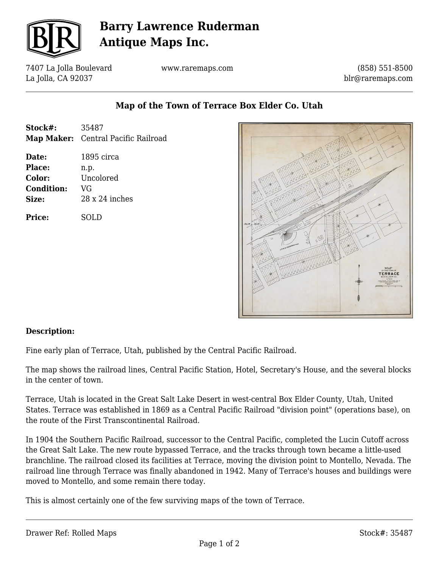

## **Barry Lawrence Ruderman Antique Maps Inc.**

7407 La Jolla Boulevard La Jolla, CA 92037

www.raremaps.com

(858) 551-8500 blr@raremaps.com

### **Map of the Town of Terrace Box Elder Co. Utah**

- **Stock#:** 35487 **Map Maker:** Central Pacific Railroad
- **Date:** 1895 circa **Place:** n.p. **Color:** Uncolored **Condition:** VG **Size:** 28 x 24 inches

**Price:** SOLD



### **Description:**

Fine early plan of Terrace, Utah, published by the Central Pacific Railroad.

The map shows the railroad lines, Central Pacific Station, Hotel, Secretary's House, and the several blocks in the center of town.

Terrace, Utah is located in the Great Salt Lake Desert in west-central Box Elder County, Utah, United States. Terrace was established in 1869 as a Central Pacific Railroad "division point" (operations base), on the route of the First Transcontinental Railroad.

In 1904 the Southern Pacific Railroad, successor to the Central Pacific, completed the Lucin Cutoff across the Great Salt Lake. The new route bypassed Terrace, and the tracks through town became a little-used branchline. The railroad closed its facilities at Terrace, moving the division point to Montello, Nevada. The railroad line through Terrace was finally abandoned in 1942. Many of Terrace's houses and buildings were moved to Montello, and some remain there today.

This is almost certainly one of the few surviving maps of the town of Terrace.